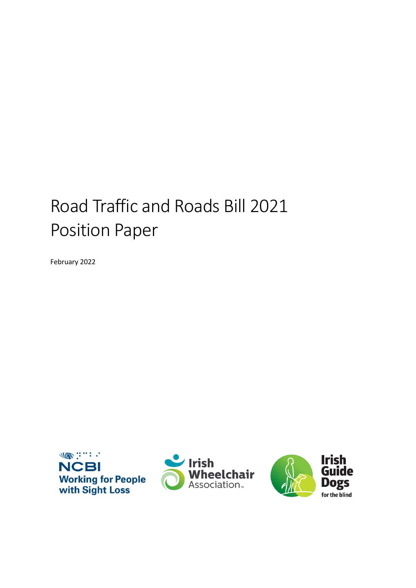# Road Traffic and Roads Bill 2021 Position Paper

February 2022





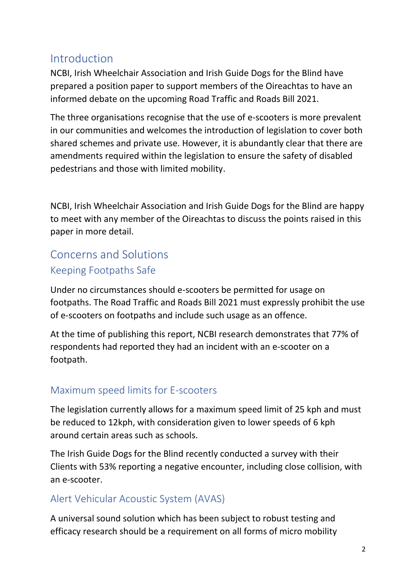## Introduction

NCBI, Irish Wheelchair Association and Irish Guide Dogs for the Blind have prepared a position paper to support members of the Oireachtas to have an informed debate on the upcoming Road Traffic and Roads Bill 2021.

The three organisations recognise that the use of e-scooters is more prevalent in our communities and welcomes the introduction of legislation to cover both shared schemes and private use. However, it is abundantly clear that there are amendments required within the legislation to ensure the safety of disabled pedestrians and those with limited mobility.

NCBI, Irish Wheelchair Association and Irish Guide Dogs for the Blind are happy to meet with any member of the Oireachtas to discuss the points raised in this paper in more detail.

# Concerns and Solutions Keeping Footpaths Safe

Under no circumstances should e-scooters be permitted for usage on footpaths. The Road Traffic and Roads Bill 2021 must expressly prohibit the use of e-scooters on footpaths and include such usage as an offence.

At the time of publishing this report, NCBI research demonstrates that 77% of respondents had reported they had an incident with an e-scooter on a footpath.

#### Maximum speed limits for E-scooters

The legislation currently allows for a maximum speed limit of 25 kph and must be reduced to 12kph, with consideration given to lower speeds of 6 kph around certain areas such as schools.

The Irish Guide Dogs for the Blind recently conducted a survey with their Clients with 53% reporting a negative encounter, including close collision, with an e-scooter.

## Alert Vehicular Acoustic System (AVAS)

A universal sound solution which has been subject to robust testing and efficacy research should be a requirement on all forms of micro mobility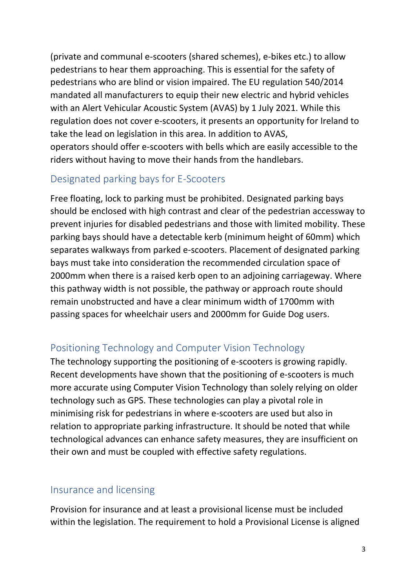(private and communal e-scooters (shared schemes), e-bikes etc.) to allow pedestrians to hear them approaching. This is essential for the safety of pedestrians who are blind or vision impaired. The EU regulation 540/2014 mandated all manufacturers to equip their new electric and hybrid vehicles with an Alert Vehicular Acoustic System (AVAS) by 1 July 2021. While this regulation does not cover e-scooters, it presents an opportunity for Ireland to take the lead on legislation in this area. In addition to AVAS, operators should offer e-scooters with bells which are easily accessible to the riders without having to move their hands from the handlebars.

#### Designated parking bays for E-Scooters

Free floating, lock to parking must be prohibited. Designated parking bays should be enclosed with high contrast and clear of the pedestrian accessway to prevent injuries for disabled pedestrians and those with limited mobility. These parking bays should have a detectable kerb (minimum height of 60mm) which separates walkways from parked e-scooters. Placement of designated parking bays must take into consideration the recommended circulation space of 2000mm when there is a raised kerb open to an adjoining carriageway. Where this pathway width is not possible, the pathway or approach route should remain unobstructed and have a clear minimum width of 1700mm with passing spaces for wheelchair users and 2000mm for Guide Dog users.

## Positioning Technology and Computer Vision Technology

The technology supporting the positioning of e-scooters is growing rapidly. Recent developments have shown that the positioning of e-scooters is much more accurate using Computer Vision Technology than solely relying on older technology such as GPS. These technologies can play a pivotal role in minimising risk for pedestrians in where e-scooters are used but also in relation to appropriate parking infrastructure. It should be noted that while technological advances can enhance safety measures, they are insufficient on their own and must be coupled with effective safety regulations.

#### Insurance and licensing

Provision for insurance and at least a provisional license must be included within the legislation. The requirement to hold a Provisional License is aligned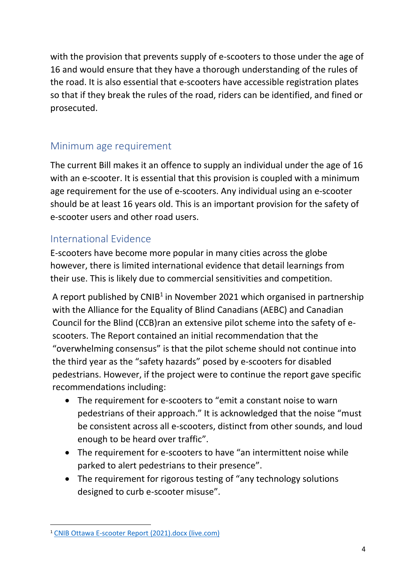with the provision that prevents supply of e-scooters to those under the age of 16 and would ensure that they have a thorough understanding of the rules of the road. It is also essential that e-scooters have accessible registration plates so that if they break the rules of the road, riders can be identified, and fined or prosecuted.

#### Minimum age requirement

The current Bill makes it an offence to supply an individual under the age of 16 with an e-scooter. It is essential that this provision is coupled with a minimum age requirement for the use of e-scooters. Any individual using an e-scooter should be at least 16 years old. This is an important provision for the safety of e-scooter users and other road users.

#### International Evidence

E-scooters have become more popular in many cities across the globe however, there is limited international evidence that detail learnings from their use. This is likely due to commercial sensitivities and competition.

A report published by CNIB<sup>1</sup> in November 2021 which organised in partnership with the Alliance for the Equality of Blind Canadians (AEBC) and Canadian Council for the Blind (CCB)ran an extensive pilot scheme into the safety of escooters. The Report contained an initial recommendation that the "overwhelming consensus" is that the pilot scheme should not continue into the third year as the "safety hazards" posed by e-scooters for disabled pedestrians. However, if the project were to continue the report gave specific recommendations including:

- The requirement for e-scooters to "emit a constant noise to warn pedestrians of their approach." It is acknowledged that the noise "must be consistent across all e-scooters, distinct from other sounds, and loud enough to be heard over traffic".
- The requirement for e-scooters to have "an intermittent noise while parked to alert pedestrians to their presence".
- The requirement for rigorous testing of "any technology solutions" designed to curb e-scooter misuse".

<sup>1</sup> [CNIB Ottawa E-scooter Report \(2021\).docx \(live.com\)](https://view.officeapps.live.com/op/view.aspx?src=https%3A%2F%2Fcnib.ca%2Fsites%2Fdefault%2Ffiles%2F2022-01%2FCNIB%2520Ottawa%2520E-scooter%2520Report%2520%25282021%2529.docx&wdOrigin=BROWSELINK)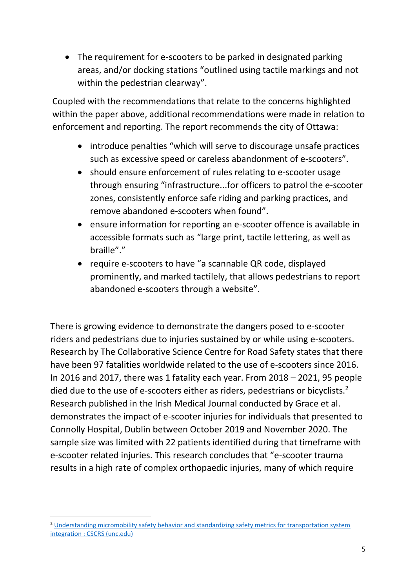• The requirement for e-scooters to be parked in designated parking areas, and/or docking stations "outlined using tactile markings and not within the pedestrian clearway".

Coupled with the recommendations that relate to the concerns highlighted within the paper above, additional recommendations were made in relation to enforcement and reporting. The report recommends the city of Ottawa:

- introduce penalties "which will serve to discourage unsafe practices such as excessive speed or careless abandonment of e-scooters".
- should ensure enforcement of rules relating to e-scooter usage through ensuring "infrastructure...for officers to patrol the e-scooter zones, consistently enforce safe riding and parking practices, and remove abandoned e-scooters when found".
- ensure information for reporting an e-scooter offence is available in accessible formats such as "large print, tactile lettering, as well as braille"."
- require e-scooters to have "a scannable QR code, displayed prominently, and marked tactilely, that allows pedestrians to report abandoned e-scooters through a website".

There is growing evidence to demonstrate the dangers posed to e-scooter riders and pedestrians due to injuries sustained by or while using e-scooters. Research by The Collaborative Science Centre for Road Safety states that there have been 97 fatalities worldwide related to the use of e-scooters since 2016. In 2016 and 2017, there was 1 fatality each year. From 2018 – 2021, 95 people died due to the use of e-scooters either as riders, pedestrians or bicyclists.<sup>2</sup> Research published in the Irish Medical Journal conducted by Grace et al. demonstrates the impact of e-scooter injuries for individuals that presented to Connolly Hospital, Dublin between October 2019 and November 2020. The sample size was limited with 22 patients identified during that timeframe with e-scooter related injuries. This research concludes that "e-scooter trauma results in a high rate of complex orthopaedic injuries, many of which require

<sup>&</sup>lt;sup>2</sup> Understanding micromobility safety behavior and standardizing safety metrics for transportation system [integration : CSCRS \(unc.edu\)](https://www.roadsafety.unc.edu/research/projects/2019r26/)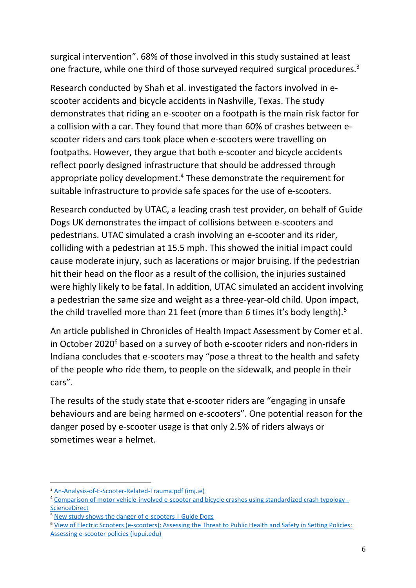surgical intervention". 68% of those involved in this study sustained at least one fracture, while one third of those surveyed required surgical procedures.<sup>3</sup>

Research conducted by Shah et al. investigated the factors involved in escooter accidents and bicycle accidents in Nashville, Texas. The study demonstrates that riding an e-scooter on a footpath is the main risk factor for a collision with a car. They found that more than 60% of crashes between escooter riders and cars took place when e-scooters were travelling on footpaths. However, they argue that both e-scooter and bicycle accidents reflect poorly designed infrastructure that should be addressed through appropriate policy development.<sup>4</sup> These demonstrate the requirement for suitable infrastructure to provide safe spaces for the use of e-scooters.

Research conducted by UTAC, a leading crash test provider, on behalf of Guide Dogs UK demonstrates the impact of collisions between e-scooters and pedestrians. UTAC simulated a crash involving an e-scooter and its rider, colliding with a pedestrian at 15.5 mph. This showed the initial impact could cause moderate injury, such as lacerations or major bruising. If the pedestrian hit their head on the floor as a result of the collision, the injuries sustained were highly likely to be fatal. In addition, UTAC simulated an accident involving a pedestrian the same size and weight as a three-year-old child. Upon impact, the child travelled more than 21 feet (more than 6 times it's body length).<sup>5</sup>

An article published in Chronicles of Health Impact Assessment by Comer et al. in October 2020<sup>6</sup> based on a survey of both e-scooter riders and non-riders in Indiana concludes that e-scooters may "pose a threat to the health and safety of the people who ride them, to people on the sidewalk, and people in their cars".

The results of the study state that e-scooter riders are "engaging in unsafe behaviours and are being harmed on e-scooters". One potential reason for the danger posed by e-scooter usage is that only 2.5% of riders always or sometimes wear a helmet.

<sup>3</sup> [An-Analysis-of-E-Scooter-Related-Trauma.pdf \(imj.ie\)](http://imj.ie/wp-content/uploads/2021/06/An-Analysis-of-E-Scooter-Related-Trauma.pdf)

<sup>4</sup> [Comparison of motor vehicle-involved e-scooter and bicycle crashes using standardized crash typology -](https://www.sciencedirect.com/science/article/pii/S0022437521000384?via%3Dihub)  **[ScienceDirect](https://www.sciencedirect.com/science/article/pii/S0022437521000384?via%3Dihub)** 

<sup>&</sup>lt;sup>5</sup> [New study shows the danger of e-scooters | Guide Dogs](https://www.guidedogs.org.uk/news/study-reveals-danger-of-an-escooter-collision/)

<sup>6</sup> [View of Electric Scooters \(e-scooters\): Assessing the Threat to Public Health and Safety in Setting Policies:](http://journals.iupui.edu/index.php/chia/article/view/24194/23283)  [Assessing e-scooter policies \(iupui.edu\)](http://journals.iupui.edu/index.php/chia/article/view/24194/23283)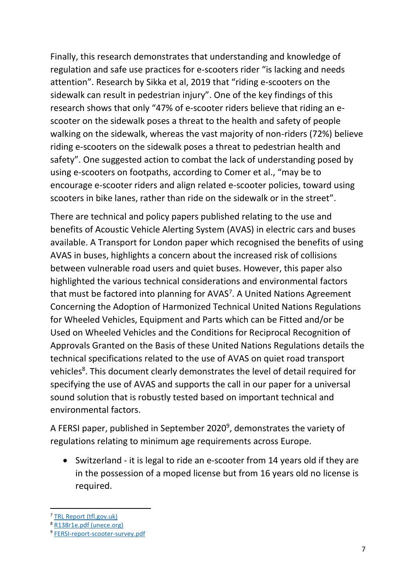Finally, this research demonstrates that understanding and knowledge of regulation and safe use practices for e-scooters rider "is lacking and needs attention". Research by Sikka et al, 2019 that "riding e-scooters on the sidewalk can result in pedestrian injury". One of the key findings of this research shows that only "47% of e-scooter riders believe that riding an escooter on the sidewalk poses a threat to the health and safety of people walking on the sidewalk, whereas the vast majority of non-riders (72%) believe riding e-scooters on the sidewalk poses a threat to pedestrian health and safety". One suggested action to combat the lack of understanding posed by using e-scooters on footpaths, according to Comer et al., "may be to encourage e-scooter riders and align related e-scooter policies, toward using scooters in bike lanes, rather than ride on the sidewalk or in the street".

There are technical and policy papers published relating to the use and benefits of Acoustic Vehicle Alerting System (AVAS) in electric cars and buses available. A Transport for London paper which recognised the benefits of using AVAS in buses, highlights a concern about the increased risk of collisions between vulnerable road users and quiet buses. However, this paper also highlighted the various technical considerations and environmental factors that must be factored into planning for AVAS<sup>7</sup>. A United Nations Agreement Concerning the Adoption of Harmonized Technical United Nations Regulations for Wheeled Vehicles, Equipment and Parts which can be Fitted and/or be Used on Wheeled Vehicles and the Conditions for Reciprocal Recognition of Approvals Granted on the Basis of these United Nations Regulations details the technical specifications related to the use of AVAS on quiet road transport vehicles<sup>8</sup>. This document clearly demonstrates the level of detail required for specifying the use of AVAS and supports the call in our paper for a universal sound solution that is robustly tested based on important technical and environmental factors.

A FERSI paper, published in September 2020 $^9$ , demonstrates the variety of regulations relating to minimum age requirements across Europe.

• Switzerland - it is legal to ride an e-scooter from 14 years old if they are in the possession of a moped license but from 16 years old no license is required.

<sup>7</sup> [TRL Report \(tfl.gov.uk\)](https://content.tfl.gov.uk/acoustic-conspicuity-avas.pdf)

<sup>8</sup> [R138r1e.pdf \(unece.org\)](https://unece.org/fileadmin/DAM/trans/main/wp29/wp29regs/2017/R138r1e.pdf)

<sup>9</sup> [FERSI-report-scooter-survey.pdf](https://fersi.org/wp-content/uploads/2020/09/FERSI-report-scooter-survey.pdf)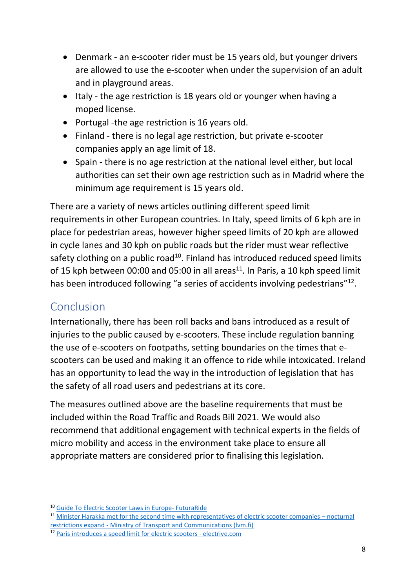- Denmark an e-scooter rider must be 15 years old, but younger drivers are allowed to use the e-scooter when under the supervision of an adult and in playground areas.
- Italy the age restriction is 18 years old or younger when having a moped license.
- Portugal -the age restriction is 16 years old.
- Finland there is no legal age restriction, but private e-scooter companies apply an age limit of 18.
- Spain there is no age restriction at the national level either, but local authorities can set their own age restriction such as in Madrid where the minimum age requirement is 15 years old.

There are a variety of news articles outlining different speed limit requirements in other European countries. In Italy, speed limits of 6 kph are in place for pedestrian areas, however higher speed limits of 20 kph are allowed in cycle lanes and 30 kph on public roads but the rider must wear reflective safety clothing on a public road<sup>10</sup>. Finland has introduced reduced speed limits of 15 kph between 00:00 and 05:00 in all areas<sup>11</sup>. In Paris, a 10 kph speed limit has been introduced following "a series of accidents involving pedestrians"<sup>12</sup>.

## Conclusion

Internationally, there has been roll backs and bans introduced as a result of injuries to the public caused by e-scooters. These include regulation banning the use of e-scooters on footpaths, setting boundaries on the times that escooters can be used and making it an offence to ride while intoxicated. Ireland has an opportunity to lead the way in the introduction of legislation that has the safety of all road users and pedestrians at its core.

The measures outlined above are the baseline requirements that must be included within the Road Traffic and Roads Bill 2021. We would also recommend that additional engagement with technical experts in the fields of micro mobility and access in the environment take place to ensure all appropriate matters are considered prior to finalising this legislation.

<sup>10</sup> [Guide To Electric Scooter Laws in Europe- FuturaRide](https://futuraride.com/electric-scooter-laws-europe/)

<sup>11</sup> [Minister Harakka met for the second time with representatives of electric scooter companies](https://www.lvm.fi/-/ministeri-harakka-tapasi-toistamiseen-sahkopotkulautayritysten-edustajia-yolliset-rajoitukset-laajenevat-1488357) – nocturnal [restrictions expand - Ministry of Transport and Communications \(lvm.fi\)](https://www.lvm.fi/-/ministeri-harakka-tapasi-toistamiseen-sahkopotkulautayritysten-edustajia-yolliset-rajoitukset-laajenevat-1488357)

<sup>&</sup>lt;sup>12</sup> [Paris introduces a speed limit for electric scooters - electrive.com](https://www.electrive.com/2021/11/30/paris-introduces-a-speed-limit-for-electric-scooters/#:~:text=Paris%20introduces%20a%2010%20km,the%20first%20half%20of%20December.)